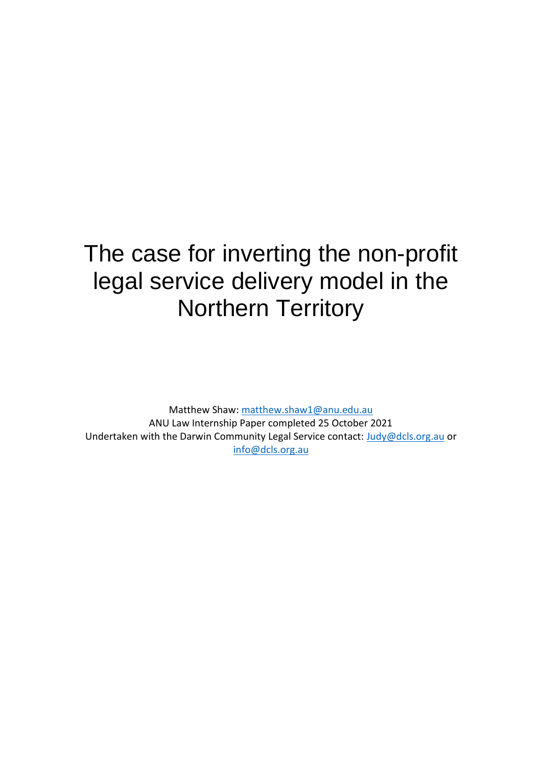# The case for inverting the non-profit legal service delivery model in the Northern Territory

Matthew Shaw: [matthew.shaw1@anu.edu.au](mailto:matthew.shaw1@anu.edu.au) ANU Law Internship Paper completed 25 October 2021 Undertaken with the Darwin Community Legal Service contact: [Judy@dcls.org.au](mailto:Judy@dcls.org.au) or [info@dcls.org.au](mailto:info@dcls.org.au)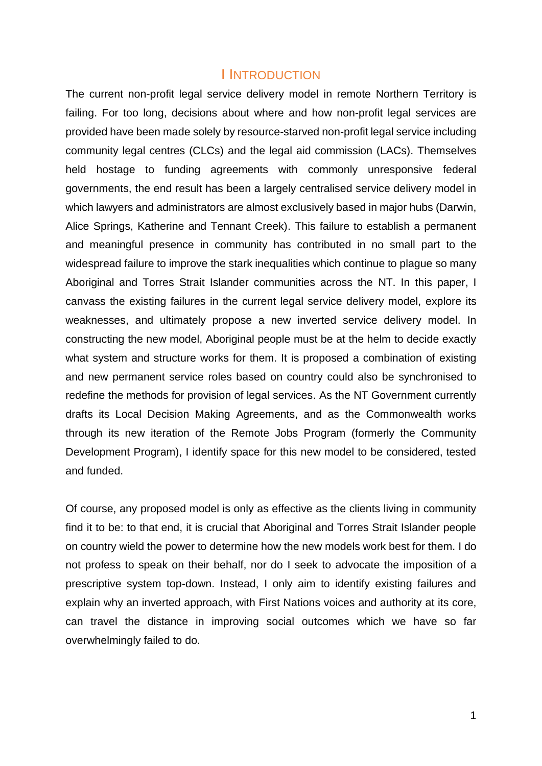#### I INTRODUCTION

The current non-profit legal service delivery model in remote Northern Territory is failing. For too long, decisions about where and how non-profit legal services are provided have been made solely by resource-starved non-profit legal service including community legal centres (CLCs) and the legal aid commission (LACs). Themselves held hostage to funding agreements with commonly unresponsive federal governments, the end result has been a largely centralised service delivery model in which lawyers and administrators are almost exclusively based in major hubs (Darwin, Alice Springs, Katherine and Tennant Creek). This failure to establish a permanent and meaningful presence in community has contributed in no small part to the widespread failure to improve the stark inequalities which continue to plague so many Aboriginal and Torres Strait Islander communities across the NT. In this paper, I canvass the existing failures in the current legal service delivery model, explore its weaknesses, and ultimately propose a new inverted service delivery model. In constructing the new model, Aboriginal people must be at the helm to decide exactly what system and structure works for them. It is proposed a combination of existing and new permanent service roles based on country could also be synchronised to redefine the methods for provision of legal services. As the NT Government currently drafts its Local Decision Making Agreements, and as the Commonwealth works through its new iteration of the Remote Jobs Program (formerly the Community Development Program), I identify space for this new model to be considered, tested and funded.

Of course, any proposed model is only as effective as the clients living in community find it to be: to that end, it is crucial that Aboriginal and Torres Strait Islander people on country wield the power to determine how the new models work best for them. I do not profess to speak on their behalf, nor do I seek to advocate the imposition of a prescriptive system top-down. Instead, I only aim to identify existing failures and explain why an inverted approach, with First Nations voices and authority at its core, can travel the distance in improving social outcomes which we have so far overwhelmingly failed to do.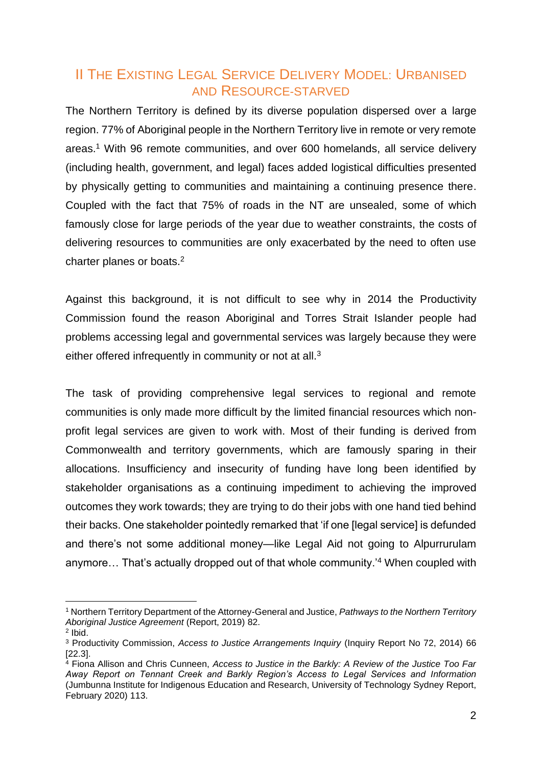# II THE EXISTING LEGAL SERVICE DELIVERY MODEL: URBANISED AND RESOURCE-STARVED

The Northern Territory is defined by its diverse population dispersed over a large region. 77% of Aboriginal people in the Northern Territory live in remote or very remote areas. <sup>1</sup> With 96 remote communities, and over 600 homelands, all service delivery (including health, government, and legal) faces added logistical difficulties presented by physically getting to communities and maintaining a continuing presence there. Coupled with the fact that 75% of roads in the NT are unsealed, some of which famously close for large periods of the year due to weather constraints, the costs of delivering resources to communities are only exacerbated by the need to often use charter planes or boats. 2

Against this background, it is not difficult to see why in 2014 the Productivity Commission found the reason Aboriginal and Torres Strait Islander people had problems accessing legal and governmental services was largely because they were either offered infrequently in community or not at all.<sup>3</sup>

The task of providing comprehensive legal services to regional and remote communities is only made more difficult by the limited financial resources which nonprofit legal services are given to work with. Most of their funding is derived from Commonwealth and territory governments, which are famously sparing in their allocations. Insufficiency and insecurity of funding have long been identified by stakeholder organisations as a continuing impediment to achieving the improved outcomes they work towards; they are trying to do their jobs with one hand tied behind their backs. One stakeholder pointedly remarked that 'if one [legal service] is defunded and there's not some additional money—like Legal Aid not going to Alpurrurulam anymore... That's actually dropped out of that whole community.<sup>'4</sup> When coupled with

<sup>1</sup> Northern Territory Department of the Attorney-General and Justice, *Pathways to the Northern Territory Aboriginal Justice Agreement* (Report, 2019) 82.

<sup>2</sup> Ibid.

<sup>3</sup> Productivity Commission, *Access to Justice Arrangements Inquiry* (Inquiry Report No 72, 2014) 66 [22.3].

<sup>4</sup> Fiona Allison and Chris Cunneen, *Access to Justice in the Barkly: A Review of the Justice Too Far Away Report on Tennant Creek and Barkly Region's Access to Legal Services and Information*  (Jumbunna Institute for Indigenous Education and Research, University of Technology Sydney Report, February 2020) 113.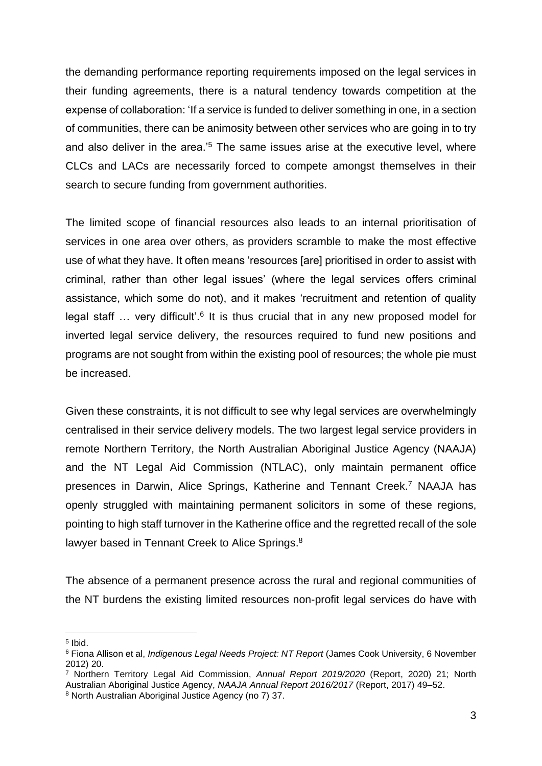the demanding performance reporting requirements imposed on the legal services in their funding agreements, there is a natural tendency towards competition at the expense of collaboration: 'If a service is funded to deliver something in one, in a section of communities, there can be animosity between other services who are going in to try and also deliver in the area.<sup>'5</sup> The same issues arise at the executive level, where CLCs and LACs are necessarily forced to compete amongst themselves in their search to secure funding from government authorities.

The limited scope of financial resources also leads to an internal prioritisation of services in one area over others, as providers scramble to make the most effective use of what they have. It often means 'resources [are] prioritised in order to assist with criminal, rather than other legal issues' (where the legal services offers criminal assistance, which some do not), and it makes 'recruitment and retention of quality legal staff ... very difficult'.<sup>6</sup> It is thus crucial that in any new proposed model for inverted legal service delivery, the resources required to fund new positions and programs are not sought from within the existing pool of resources; the whole pie must be increased.

Given these constraints, it is not difficult to see why legal services are overwhelmingly centralised in their service delivery models. The two largest legal service providers in remote Northern Territory, the North Australian Aboriginal Justice Agency (NAAJA) and the NT Legal Aid Commission (NTLAC), only maintain permanent office presences in Darwin, Alice Springs, Katherine and Tennant Creek.<sup>7</sup> NAAJA has openly struggled with maintaining permanent solicitors in some of these regions, pointing to high staff turnover in the Katherine office and the regretted recall of the sole lawyer based in Tennant Creek to Alice Springs.<sup>8</sup>

The absence of a permanent presence across the rural and regional communities of the NT burdens the existing limited resources non-profit legal services do have with

<sup>5</sup> Ibid.

<sup>6</sup> Fiona Allison et al, *Indigenous Legal Needs Project: NT Report* (James Cook University, 6 November 2012) 20.

<sup>7</sup> Northern Territory Legal Aid Commission, *Annual Report 2019/2020* (Report, 2020) 21; North Australian Aboriginal Justice Agency, *NAAJA Annual Report 2016/2017* (Report, 2017) 49–52.

<sup>8</sup> North Australian Aboriginal Justice Agency (no 7) 37.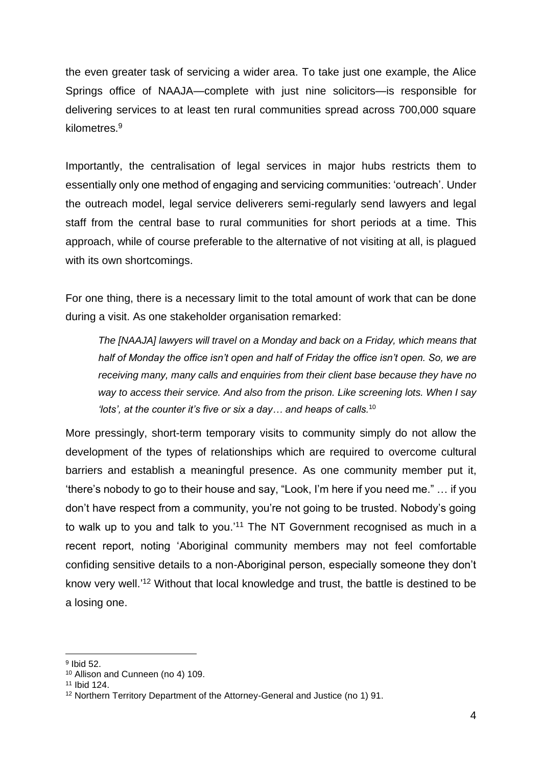the even greater task of servicing a wider area. To take just one example, the Alice Springs office of NAAJA—complete with just nine solicitors—is responsible for delivering services to at least ten rural communities spread across 700,000 square kilometres.<sup>9</sup>

Importantly, the centralisation of legal services in major hubs restricts them to essentially only one method of engaging and servicing communities: 'outreach'. Under the outreach model, legal service deliverers semi-regularly send lawyers and legal staff from the central base to rural communities for short periods at a time. This approach, while of course preferable to the alternative of not visiting at all, is plagued with its own shortcomings.

For one thing, there is a necessary limit to the total amount of work that can be done during a visit. As one stakeholder organisation remarked:

*The [NAAJA] lawyers will travel on a Monday and back on a Friday, which means that half of Monday the office isn't open and half of Friday the office isn't open. So, we are receiving many, many calls and enquiries from their client base because they have no way to access their service. And also from the prison. Like screening lots. When I say 'lots', at the counter it's five or six a day… and heaps of calls.*<sup>10</sup>

More pressingly, short-term temporary visits to community simply do not allow the development of the types of relationships which are required to overcome cultural barriers and establish a meaningful presence. As one community member put it, 'there's nobody to go to their house and say, "Look, I'm here if you need me." … if you don't have respect from a community, you're not going to be trusted. Nobody's going to walk up to you and talk to you.<sup>'11</sup> The NT Government recognised as much in a recent report, noting 'Aboriginal community members may not feel comfortable confiding sensitive details to a non-Aboriginal person, especially someone they don't know very well.' <sup>12</sup> Without that local knowledge and trust, the battle is destined to be a losing one.

<sup>9</sup> Ibid 52.

<sup>10</sup> Allison and Cunneen (no 4) 109.

<sup>11</sup> Ibid 124.

<sup>12</sup> Northern Territory Department of the Attorney-General and Justice (no 1) 91.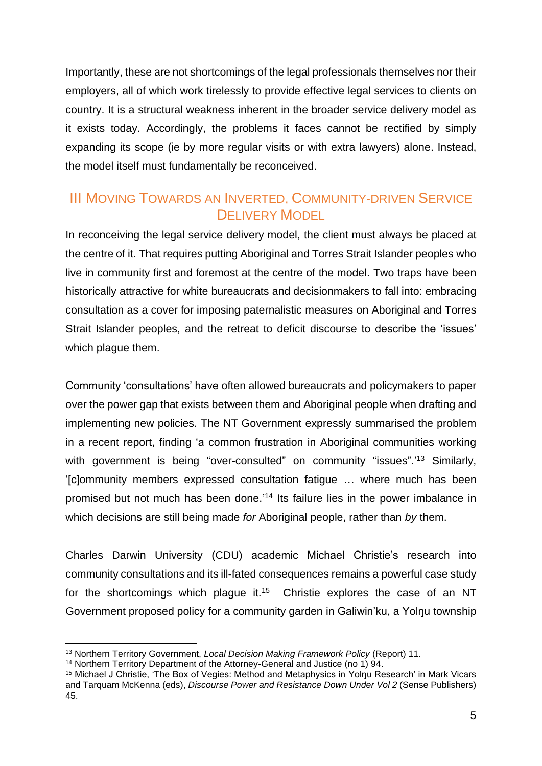Importantly, these are not shortcomings of the legal professionals themselves nor their employers, all of which work tirelessly to provide effective legal services to clients on country. It is a structural weakness inherent in the broader service delivery model as it exists today. Accordingly, the problems it faces cannot be rectified by simply expanding its scope (ie by more regular visits or with extra lawyers) alone. Instead, the model itself must fundamentally be reconceived.

#### III MOVING TOWARDS AN INVERTED, COMMUNITY-DRIVEN SERVICE DELIVERY MODEL

In reconceiving the legal service delivery model, the client must always be placed at the centre of it. That requires putting Aboriginal and Torres Strait Islander peoples who live in community first and foremost at the centre of the model. Two traps have been historically attractive for white bureaucrats and decisionmakers to fall into: embracing consultation as a cover for imposing paternalistic measures on Aboriginal and Torres Strait Islander peoples, and the retreat to deficit discourse to describe the 'issues' which plague them.

Community 'consultations' have often allowed bureaucrats and policymakers to paper over the power gap that exists between them and Aboriginal people when drafting and implementing new policies. The NT Government expressly summarised the problem in a recent report, finding 'a common frustration in Aboriginal communities working with government is being "over-consulted" on community "issues".<sup>'13</sup> Similarly, '[c]ommunity members expressed consultation fatigue … where much has been promised but not much has been done.' <sup>14</sup> Its failure lies in the power imbalance in which decisions are still being made *for* Aboriginal people, rather than *by* them.

Charles Darwin University (CDU) academic Michael Christie's research into community consultations and its ill-fated consequences remains a powerful case study for the shortcomings which plague it.<sup>15</sup> Christie explores the case of an NT Government proposed policy for a community garden in Galiwin'ku, a Yolnu township

<sup>13</sup> Northern Territory Government, *Local Decision Making Framework Policy* (Report) 11.

<sup>&</sup>lt;sup>14</sup> Northern Territory Department of the Attorney-General and Justice (no 1) 94.

<sup>&</sup>lt;sup>15</sup> Michael J Christie, 'The Box of Vegies: Method and Metaphysics in Yolnu Research' in Mark Vicars and Tarquam McKenna (eds), *Discourse Power and Resistance Down Under Vol 2* (Sense Publishers) 45.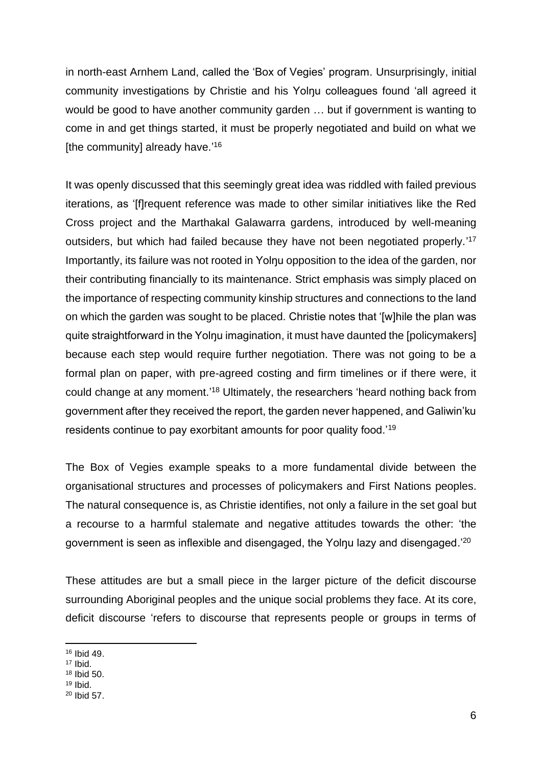in north-east Arnhem Land, called the 'Box of Vegies' program. Unsurprisingly, initial community investigations by Christie and his Yolnu colleagues found 'all agreed it would be good to have another community garden … but if government is wanting to come in and get things started, it must be properly negotiated and build on what we [the community] already have.'<sup>16</sup>

It was openly discussed that this seemingly great idea was riddled with failed previous iterations, as '[f]requent reference was made to other similar initiatives like the Red Cross project and the Marthakal Galawarra gardens, introduced by well-meaning outsiders, but which had failed because they have not been negotiated properly.'<sup>17</sup> Importantly, its failure was not rooted in Yolnu opposition to the idea of the garden, nor their contributing financially to its maintenance. Strict emphasis was simply placed on the importance of respecting community kinship structures and connections to the land on which the garden was sought to be placed. Christie notes that '[w]hile the plan was quite straightforward in the Yolnu imagination, it must have daunted the [policymakers] because each step would require further negotiation. There was not going to be a formal plan on paper, with pre-agreed costing and firm timelines or if there were, it could change at any moment.' <sup>18</sup> Ultimately, the researchers 'heard nothing back from government after they received the report, the garden never happened, and Galiwin'ku residents continue to pay exorbitant amounts for poor quality food.'<sup>19</sup>

The Box of Vegies example speaks to a more fundamental divide between the organisational structures and processes of policymakers and First Nations peoples. The natural consequence is, as Christie identifies, not only a failure in the set goal but a recourse to a harmful stalemate and negative attitudes towards the other: 'the government is seen as inflexible and disengaged, the Yolnu lazy and disengaged.<sup>'20</sup>

These attitudes are but a small piece in the larger picture of the deficit discourse surrounding Aboriginal peoples and the unique social problems they face. At its core, deficit discourse 'refers to discourse that represents people or groups in terms of

<sup>16</sup> Ibid 49.

<sup>17</sup> Ibid.

<sup>18</sup> Ibid 50.

<sup>19</sup> Ibid.

<sup>20</sup> Ibid 57.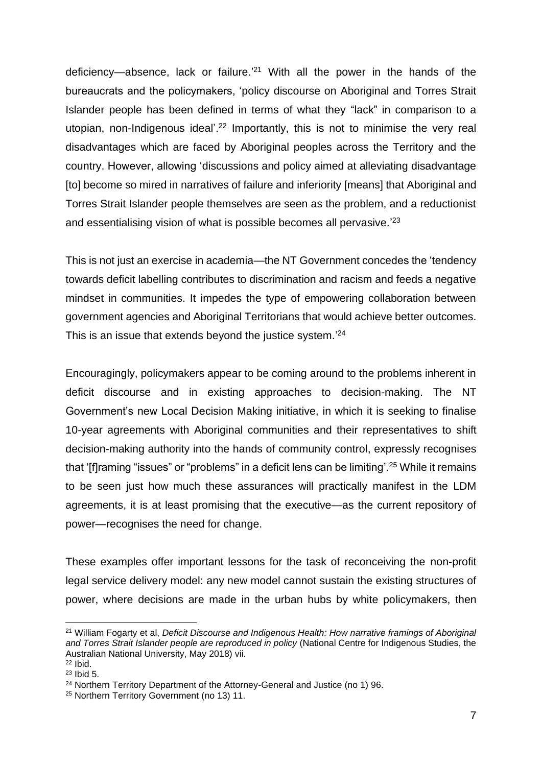deficiency—absence, lack or failure.' <sup>21</sup> With all the power in the hands of the bureaucrats and the policymakers, 'policy discourse on Aboriginal and Torres Strait Islander people has been defined in terms of what they "lack" in comparison to a utopian, non-Indigenous ideal'.<sup>22</sup> Importantly, this is not to minimise the very real disadvantages which are faced by Aboriginal peoples across the Territory and the country. However, allowing 'discussions and policy aimed at alleviating disadvantage [to] become so mired in narratives of failure and inferiority [means] that Aboriginal and Torres Strait Islander people themselves are seen as the problem, and a reductionist and essentialising vision of what is possible becomes all pervasive.<sup>'23</sup>

This is not just an exercise in academia—the NT Government concedes the 'tendency towards deficit labelling contributes to discrimination and racism and feeds a negative mindset in communities. It impedes the type of empowering collaboration between government agencies and Aboriginal Territorians that would achieve better outcomes. This is an issue that extends beyond the justice system.<sup>'24</sup>

Encouragingly, policymakers appear to be coming around to the problems inherent in deficit discourse and in existing approaches to decision-making. The NT Government's new Local Decision Making initiative, in which it is seeking to finalise 10-year agreements with Aboriginal communities and their representatives to shift decision-making authority into the hands of community control, expressly recognises that '[f]raming "issues" or "problems" in a deficit lens can be limiting'.<sup>25</sup> While it remains to be seen just how much these assurances will practically manifest in the LDM agreements, it is at least promising that the executive—as the current repository of power—recognises the need for change.

These examples offer important lessons for the task of reconceiving the non-profit legal service delivery model: any new model cannot sustain the existing structures of power, where decisions are made in the urban hubs by white policymakers, then

<sup>21</sup> William Fogarty et al, *Deficit Discourse and Indigenous Health: How narrative framings of Aboriginal and Torres Strait Islander people are reproduced in policy* (National Centre for Indigenous Studies, the Australian National University, May 2018) vii.

<sup>22</sup> Ibid.

<sup>23</sup> Ibid 5.

<sup>&</sup>lt;sup>24</sup> Northern Territory Department of the Attorney-General and Justice (no 1) 96.

<sup>25</sup> Northern Territory Government (no 13) 11.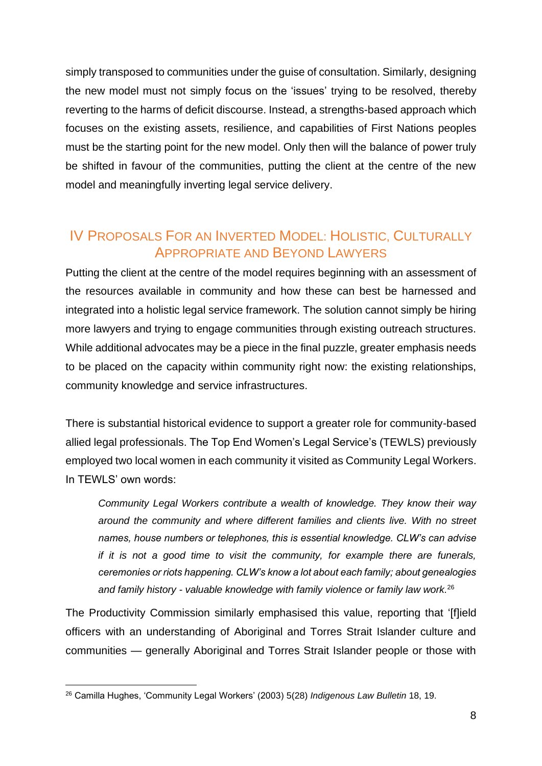simply transposed to communities under the guise of consultation. Similarly, designing the new model must not simply focus on the 'issues' trying to be resolved, thereby reverting to the harms of deficit discourse. Instead, a strengths-based approach which focuses on the existing assets, resilience, and capabilities of First Nations peoples must be the starting point for the new model. Only then will the balance of power truly be shifted in favour of the communities, putting the client at the centre of the new model and meaningfully inverting legal service delivery.

# IV PROPOSALS FOR AN INVERTED MODEL: HOLISTIC, CULTURALLY APPROPRIATE AND BEYOND LAWYERS

Putting the client at the centre of the model requires beginning with an assessment of the resources available in community and how these can best be harnessed and integrated into a holistic legal service framework. The solution cannot simply be hiring more lawyers and trying to engage communities through existing outreach structures. While additional advocates may be a piece in the final puzzle, greater emphasis needs to be placed on the capacity within community right now: the existing relationships, community knowledge and service infrastructures.

There is substantial historical evidence to support a greater role for community-based allied legal professionals. The Top End Women's Legal Service's (TEWLS) previously employed two local women in each community it visited as Community Legal Workers. In TEWLS' own words:

*Community Legal Workers contribute a wealth of knowledge. They know their way around the community and where different families and clients live. With no street names, house numbers or telephones, this is essential knowledge. CLW's can advise if it is not a good time to visit the community, for example there are funerals, ceremonies or riots happening. CLW's know a lot about each family; about genealogies and family history - valuable knowledge with family violence or family law work.*<sup>26</sup>

The Productivity Commission similarly emphasised this value, reporting that '[f]ield officers with an understanding of Aboriginal and Torres Strait Islander culture and communities — generally Aboriginal and Torres Strait Islander people or those with

<sup>26</sup> Camilla Hughes, 'Community Legal Workers' (2003) 5(28) *Indigenous Law Bulletin* 18, 19.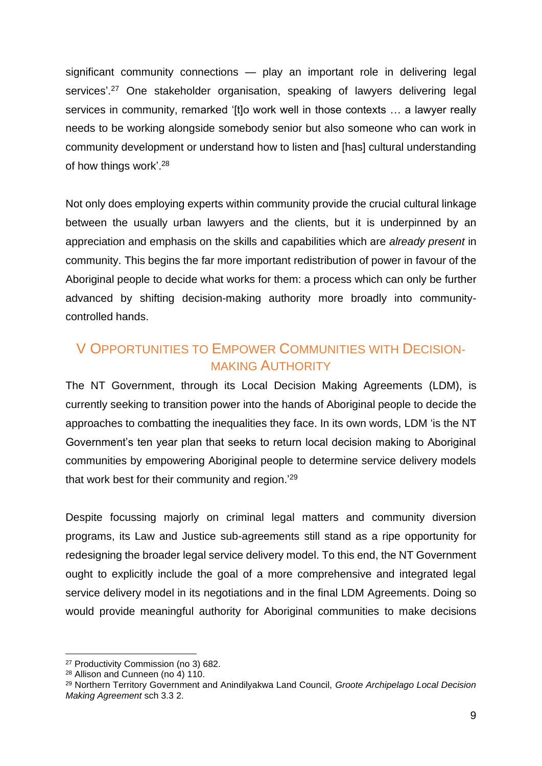significant community connections — play an important role in delivering legal services'.<sup>27</sup> One stakeholder organisation, speaking of lawyers delivering legal services in community, remarked '[t]o work well in those contexts ... a lawyer really needs to be working alongside somebody senior but also someone who can work in community development or understand how to listen and [has] cultural understanding of how things work'.<sup>28</sup>

Not only does employing experts within community provide the crucial cultural linkage between the usually urban lawyers and the clients, but it is underpinned by an appreciation and emphasis on the skills and capabilities which are *already present* in community. This begins the far more important redistribution of power in favour of the Aboriginal people to decide what works for them: a process which can only be further advanced by shifting decision-making authority more broadly into communitycontrolled hands.

### V OPPORTUNITIES TO EMPOWER COMMUNITIES WITH DECISION-MAKING AUTHORITY

The NT Government, through its Local Decision Making Agreements (LDM), is currently seeking to transition power into the hands of Aboriginal people to decide the approaches to combatting the inequalities they face. In its own words, LDM 'is the NT Government's ten year plan that seeks to return local decision making to Aboriginal communities by empowering Aboriginal people to determine service delivery models that work best for their community and region.<sup>'29</sup>

Despite focussing majorly on criminal legal matters and community diversion programs, its Law and Justice sub-agreements still stand as a ripe opportunity for redesigning the broader legal service delivery model. To this end, the NT Government ought to explicitly include the goal of a more comprehensive and integrated legal service delivery model in its negotiations and in the final LDM Agreements. Doing so would provide meaningful authority for Aboriginal communities to make decisions

<sup>27</sup> Productivity Commission (no 3) 682.

<sup>28</sup> Allison and Cunneen (no 4) 110.

<sup>29</sup> Northern Territory Government and Anindilyakwa Land Council, *Groote Archipelago Local Decision Making Agreement* sch 3.3 2.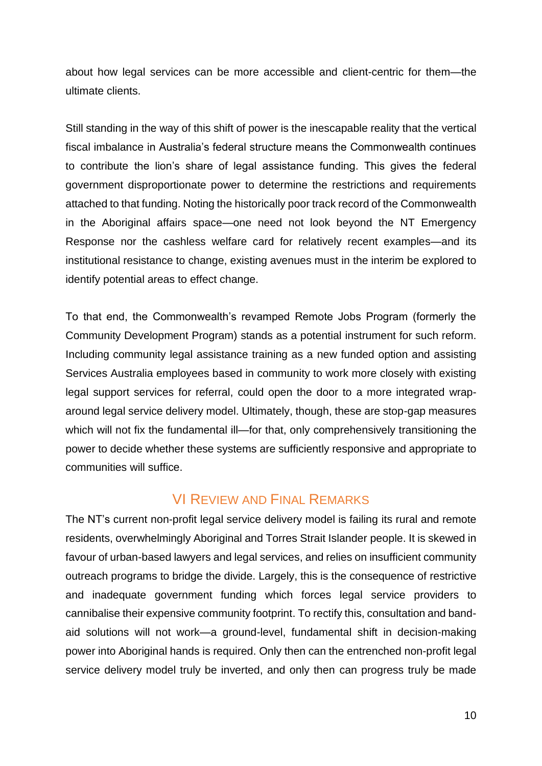about how legal services can be more accessible and client-centric for them—the ultimate clients.

Still standing in the way of this shift of power is the inescapable reality that the vertical fiscal imbalance in Australia's federal structure means the Commonwealth continues to contribute the lion's share of legal assistance funding. This gives the federal government disproportionate power to determine the restrictions and requirements attached to that funding. Noting the historically poor track record of the Commonwealth in the Aboriginal affairs space—one need not look beyond the NT Emergency Response nor the cashless welfare card for relatively recent examples—and its institutional resistance to change, existing avenues must in the interim be explored to identify potential areas to effect change.

To that end, the Commonwealth's revamped Remote Jobs Program (formerly the Community Development Program) stands as a potential instrument for such reform. Including community legal assistance training as a new funded option and assisting Services Australia employees based in community to work more closely with existing legal support services for referral, could open the door to a more integrated wraparound legal service delivery model. Ultimately, though, these are stop-gap measures which will not fix the fundamental ill—for that, only comprehensively transitioning the power to decide whether these systems are sufficiently responsive and appropriate to communities will suffice.

# VI REVIEW AND FINAL REMARKS

The NT's current non-profit legal service delivery model is failing its rural and remote residents, overwhelmingly Aboriginal and Torres Strait Islander people. It is skewed in favour of urban-based lawyers and legal services, and relies on insufficient community outreach programs to bridge the divide. Largely, this is the consequence of restrictive and inadequate government funding which forces legal service providers to cannibalise their expensive community footprint. To rectify this, consultation and bandaid solutions will not work—a ground-level, fundamental shift in decision-making power into Aboriginal hands is required. Only then can the entrenched non-profit legal service delivery model truly be inverted, and only then can progress truly be made